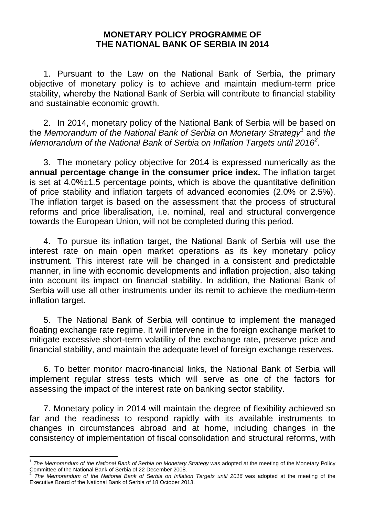## **MONETARY POLICY PROGRAMME OF THE NATIONAL BANK OF SERBIA IN 2014**

1. Pursuant to the Law on the National Bank of Serbia, the primary objective of monetary policy is to achieve and maintain medium-term price stability, whereby the National Bank of Serbia will contribute to financial stability and sustainable economic growth.

2. In 2014, monetary policy of the National Bank of Serbia will be based on the *Memorandum of the National Bank of Serbia on Monetary Strategy[1](#page-0-0)* and *the Memorandum of the National Bank of Serbia on Inflation Targets until 2016[2](#page-0-1) .*

3. The monetary policy objective for 2014 is expressed numerically as the **annual percentage change in the consumer price index.** The inflation target is set at 4.0%±1.5 percentage points, which is above the quantitative definition of price stability and inflation targets of advanced economies (2.0% or 2.5%). The inflation target is based on the assessment that the process of structural reforms and price liberalisation, i.e. nominal, real and structural convergence towards the European Union, will not be completed during this period.

4. To pursue its inflation target, the National Bank of Serbia will use the interest rate on main open market operations as its key monetary policy instrument. This interest rate will be changed in a consistent and predictable manner, in line with economic developments and inflation projection, also taking into account its impact on financial stability. In addition, the National Bank of Serbia will use all other instruments under its remit to achieve the medium-term inflation target.

5. The National Bank of Serbia will continue to implement the managed floating exchange rate regime. It will intervene in the foreign exchange market to mitigate excessive short-term volatility of the exchange rate, preserve price and financial stability, and maintain the adequate level of foreign exchange reserves.

6. To better monitor macro-financial links, the National Bank of Serbia will implement regular stress tests which will serve as one of the factors for assessing the impact of the interest rate on banking sector stability.

7. Monetary policy in 2014 will maintain the degree of flexibility achieved so far and the readiness to respond rapidly with its available instruments to changes in circumstances abroad and at home, including changes in the consistency of implementation of fiscal consolidation and structural reforms, with

<span id="page-0-0"></span><sup>&</sup>lt;sup>1</sup> The Memorandum of the National Bank of Serbia on Monetary Strategy was adopted at the meeting of the Monetary Policy<br>Committee of the National Bank of Serbia of 22 December 2008.

<span id="page-0-1"></span>The Memorandum of the National Bank of Serbia on Inflation Targets until 2016 was adopted at the meeting of the Executive Board of the National Bank of Serbia of 18 October 2013.